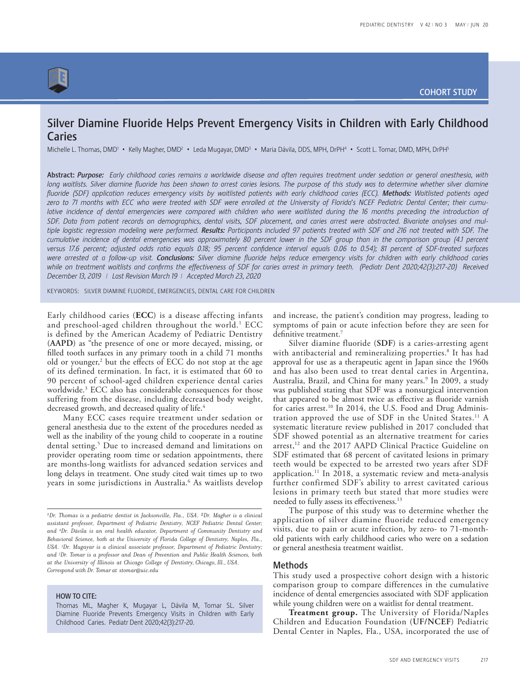

# Silver Diamine Fluoride Helps Prevent Emergency Visits in Children with Early Childhood Caries

Michelle L. Thomas, DMD<sup>1</sup> • Kelly Magher, DMD<sup>2</sup> • Leda Mugayar, DMD<sup>3</sup> • Maria Dávila, DDS, MPH, DrPH<sup>4</sup> • Scott L. Tomar, DMD, MPH, DrPH<sup>5</sup>

Abstract: *Purpose: Early childhood caries remains a worldwide disease and often requires treatment under sedation or general anesthesia, with*  long waitlists. Silver diamine fluoride has been shown to arrest caries lesions. The purpose of this study was to determine whether silver diamine fluoride (SDF) application reduces emergency visits by waitlisted patients with early childhood caries (ECC). Methods: Waitlisted patients aged *zero to 71 months with ECC who were treated with SDF were enrolled at the University of Florida's NCEF Pediatric Dental Center; their cumu*lative incidence of dental emergencies were compared with children who were waitlisted during the 16 months preceding the introduction of *SDF. Data from patient records on demographics, dental visits, SDF placement, and caries arrest were abstracted. Bivariate analyses and multiple logistic regression modeling were performed. Results: Participants included 97 patients treated with SDF and 216 not treated with SDF. The*  cumulative incidence of dental emergencies was approximately 80 percent lower in the SDF group than in the comparison group (4.1 percent *versus 17.6 percent; adjusted odds ratio equals 0.18; 95 percent confidence interval equals 0.06 to 0.54); 81 percent of SDF-treated surfaces were arrested at a follow-up visit. Conclusions: Silver diamine fluoride helps reduce emergency visits for children with early childhood caries*  while on treatment waitlists and confirms the effectiveness of SDF for caries arrest in primary teeth. (Pediatr Dent 2020;42(3):217-20) Received *December 13, 2019 | Last Revision March 19 | Accepted March 23, 2020*

KEYWORDS: SILVER DIAMINE FLUORIDE, EMERGENCIES, DENTAL CARE FOR CHILDREN

Early childhood caries (**ECC**) is a disease affecting infants and preschool-aged children throughout the world.<sup>1</sup> ECC is defined by the American Academy of Pediatric Dentistry (**AAPD**) as "the presence of one or more decayed, missing, or filled tooth surfaces in any primary tooth in a child 71 months old or younger,<sup>2</sup> but the effects of ECC do not stop at the age of its defined termination. In fact, it is estimated that 60 to 90 percent of school-aged children experience dental caries worldwide.3 ECC also has considerable consequences for those suffering from the disease, including decreased body weight, decreased growth, and decreased quality of life.<sup>4</sup>

Many ECC cases require treatment under sedation or general anesthesia due to the extent of the procedures needed as well as the inability of the young child to cooperate in a routine dental setting.5 Due to increased demand and limitations on provider operating room time or sedation appointments, there are months-long waitlists for advanced sedation services and long delays in treatment. One study cited wait times up to two years in some jurisdictions in Australia.<sup>6</sup> As waitlists develop

# HOW TO CITE:

and increase, the patient's condition may progress, leading to symptoms of pain or acute infection before they are seen for definitive treatment.<sup>7</sup>

Silver diamine fluoride (**SDF**) is a caries-arresting agent with antibacterial and remineralizing properties.8 It has had approval for use as a therapeutic agent in Japan since the 1960s and has also been used to treat dental caries in Argentina, Australia, Brazil, and China for many years.<sup>9</sup> In 2009, a study was published stating that SDF was a nonsurgical intervention that appeared to be almost twice as effective as fluoride varnish for caries arrest.<sup>10</sup> In 2014, the U.S. Food and Drug Administration approved the use of SDF in the United States.11 A systematic literature review published in 2017 concluded that SDF showed potential as an alternative treatment for caries arrest,<sup>12</sup> and the 2017 AAPD Clinical Practice Guideline on SDF estimated that 68 percent of cavitated lesions in primary teeth would be expected to be arrested two years after SDF application.<sup>11</sup> In 2018, a systematic review and meta-analysis further confirmed SDF's ability to arrest cavitated carious lesions in primary teeth but stated that more studies were needed to fully assess its effectiveness.<sup>13</sup>

The purpose of this study was to determine whether the application of silver diamine fluoride reduced emergency visits, due to pain or acute infection, by zero- to 71-monthold patients with early childhood caries who were on a sedation or general anesthesia treatment waitlist.

# Methods

This study used a prospective cohort design with a historic comparison group to compare differences in the cumulative incidence of dental emergencies associated with SDF application while young children were on a waitlist for dental treatment.

**Treatment group.** The University of Florida/Naples Children and Education Foundation (**UF/NCEF**) Pediatric Dental Center in Naples, Fla., USA, incorporated the use of

*<sup>1</sup> Dr. Thomas is a pediatric dentist in Jacksonville, Fla., USA. 2Dr. Magher is a clinical assistant professor, Department of Pediatric Dentistry, NCEF Pediatric Dental Center; and 4 Dr. Dávila is an oral health educator, Department of Community Dentistry and Behavioral Science, both at the University of Florida College of Dentistry, Naples, Fla., USA. 3 Dr. Mugayar is a clinical associate professor, Department of Pediatric Dentistry; and 5 Dr. Tomar is a professor and Dean of Prevention and Public Health Sciences, both at the University of Illinois at Chicago College of Dentistry, Chicago, Ill., USA. Correspond with Dr. Tomar at stomar@uic.edu* 

Thomas ML, Magher K, Mugayar L, Dávila M, Tomar SL. Silver Diamine Fluoride Prevents Emergency Visits in Children with Early Childhood Caries. Pediatr Dent 2020;42(3):217-20.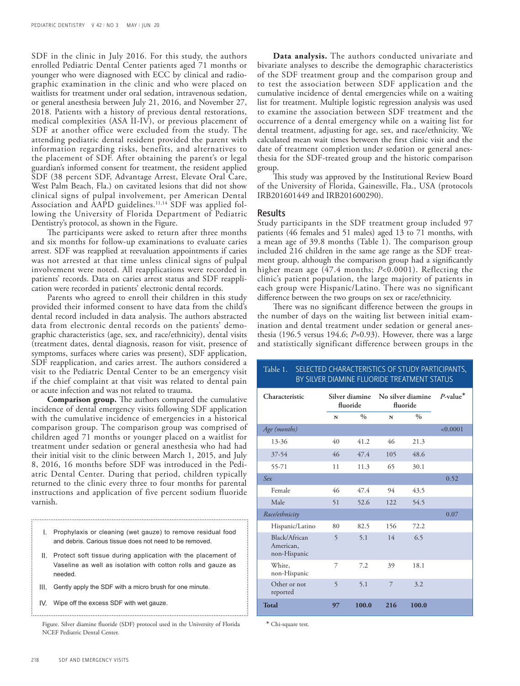SDF in the clinic in July 2016. For this study, the authors enrolled Pediatric Dental Center patients aged 71 months or younger who were diagnosed with ECC by clinical and radiographic examination in the clinic and who were placed on waitlists for treatment under oral sedation, intravenous sedation, or general anesthesia between July 21, 2016, and November 27, 2018. Patients with a history of previous dental restorations, medical complexities (ASA II-IV), or previous placement of SDF at another office were excluded from the study. The attending pediatric dental resident provided the parent with information regarding risks, benefits, and alternatives to the placement of SDF. After obtaining the parent's or legal guardian's informed consent for treatment, the resident applied SDF (38 percent SDF, Advantage Arrest, Elevate Oral Care, West Palm Beach, Fla.) on cavitated lesions that did not show clinical signs of pulpal involvement, per American Dental Association and AAPD guidelines.<sup>11,14</sup> SDF was applied following the University of Florida Department of Pediatric Dentistry's protocol, as shown in the Figure.

The participants were asked to return after three months and six months for follow-up examinations to evaluate caries arrest. SDF was reapplied at reevaluation appointments if caries was not arrested at that time unless clinical signs of pulpal involvement were noted. All reapplications were recorded in patients' records. Data on caries arrest status and SDF reapplication were recorded in patients' electronic dental records.

Parents who agreed to enroll their children in this study provided their informed consent to have data from the child's dental record included in data analysis. The authors abstracted data from electronic dental records on the patients' demographic characteristics (age, sex, and race/ethnicity), dental visits (treatment dates, dental diagnosis, reason for visit, presence of symptoms, surfaces where caries was present), SDF application, SDF reapplication, and caries arrest. The authors considered a visit to the Pediatric Dental Center to be an emergency visit if the chief complaint at that visit was related to dental pain or acute infection and was not related to trauma.

**Comparison group.** The authors compared the cumulative incidence of dental emergency visits following SDF application with the cumulative incidence of emergencies in a historical comparison group. The comparison group was comprised of children aged 71 months or younger placed on a waitlist for treatment under sedation or general anesthesia who had had their initial visit to the clinic between March 1, 2015, and July 8, 2016, 16 months before SDF was introduced in the Pediatric Dental Center. During that period, children typically returned to the clinic every three to four months for parental instructions and application of five percent sodium fluoride varnish.

I. Prophylaxis or cleaning (wet gauze) to remove residual food and debris. Carious tissue does not need to be removed.

- II. Protect soft tissue during application with the placement of Vaseline as well as isolation with cotton rolls and gauze as needed.
- III. Gently apply the SDF with a micro brush for one minute.
- IV. Wipe off the excess SDF with wet gauze.

**Data analysis.** The authors conducted univariate and bivariate analyses to describe the demographic characteristics of the SDF treatment group and the comparison group and to test the association between SDF application and the cumulative incidence of dental emergencies while on a waiting list for treatment. Multiple logistic regression analysis was used to examine the association between SDF treatment and the occurrence of a dental emergency while on a waiting list for dental treatment, adjusting for age, sex, and race/ethnicity. We calculated mean wait times between the first clinic visit and the date of treatment completion under sedation or general anesthesia for the SDF-treated group and the historic comparison group.

This study was approved by the Institutional Review Board of the University of Florida, Gainesville, Fla., USA (protocols IRB201601449 and IRB201600290).

#### Results

Study participants in the SDF treatment group included 97 patients (46 females and 51 males) aged 13 to 71 months, with a mean age of 39.8 months (Table 1). The comparison group included 216 children in the same age range as the SDF treatment group, although the comparison group had a significantly higher mean age (47.4 months; *P*<0.0001). Reflecting the clinic's patient population, the large majority of patients in each group were Hispanic/Latino. There was no significant difference between the two groups on sex or race/ethnicity.

There was no significant difference between the groups in the number of days on the waiting list between initial examination and dental treatment under sedation or general anesthesia (196.5 versus 194.6; *P*=0.93). However, there was a large and statistically significant difference between groups in the

# Table 1. SELECTED CHARACTERISTICS OF STUDY PARTICIPANTS, BY SILVER DIAMINE FLUORIDE TREATMENT STATUS

| Characteristic                             | Silver diamine<br>fluoride |               | No silver diamine<br>fluoride |               | $P$ -value <sup>*</sup> |
|--------------------------------------------|----------------------------|---------------|-------------------------------|---------------|-------------------------|
|                                            | N                          | $\frac{0}{0}$ | N                             | $\frac{0}{0}$ |                         |
| Age (months)                               |                            |               |                               |               | < 0.0001                |
| $13 - 36$                                  | 40                         | 41.2          | 46                            | 21.3          |                         |
| 37-54                                      | 46                         | 47.4          | 105                           | 48.6          |                         |
| 55-71                                      | 11                         | 11.3          | 65                            | 30.1          |                         |
| Sex                                        |                            |               |                               |               | 0.52                    |
| Female                                     | 46                         | 47.4          | 94                            | 43.5          |                         |
| Male                                       | 51                         | 52.6          | 122                           | 54.5          |                         |
| Racelethnicity                             |                            |               |                               |               | 0.07                    |
| Hispanic/Latino                            | 80                         | 82.5          | 156                           | 72.2          |                         |
| Black/African<br>American,<br>non-Hispanic | 5                          | 5.1           | 14                            | 6.5           |                         |
| White,<br>non-Hispanic                     | 7                          | 7.2           | 39                            | 18.1          |                         |
| Other or not<br>reported                   | 5                          | 5.1           | $\overline{7}$                | 3.2           |                         |
| <b>Total</b>                               | 97                         | 100.0         | 216                           | 100.0         |                         |

\* Chi-square test.

Figure. Silver diamine fluoride (SDF) protocol used in the University of Florida NCEF Pediatric Dental Center.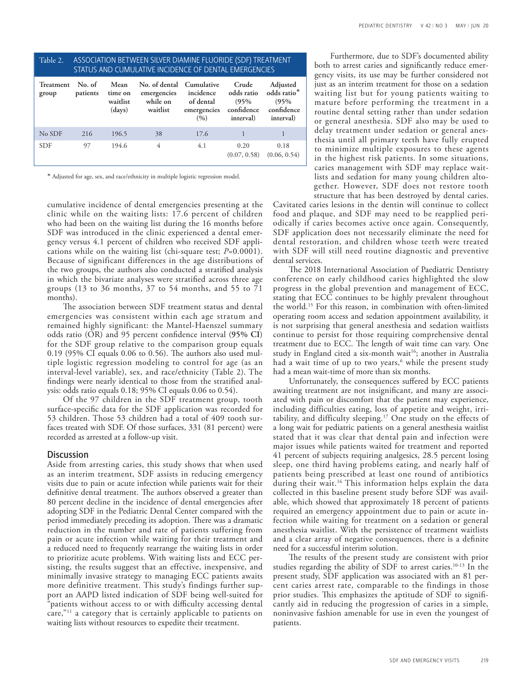| ASSOCIATION BETWEEN SILVER DIAMINE FLUORIDE (SDF) TREATMENT<br>Table 2.<br>STATUS AND CUMULATIVE INCIDENCE OF DENTAL EMERGENCIES |                    |                                       |                                                                 |                                                |                                                        |                                                            |  |  |
|----------------------------------------------------------------------------------------------------------------------------------|--------------------|---------------------------------------|-----------------------------------------------------------------|------------------------------------------------|--------------------------------------------------------|------------------------------------------------------------|--|--|
| Treatment<br>group                                                                                                               | No. of<br>patients | Mean<br>time on<br>waitlist<br>(days) | No. of dental Cumulative<br>emergencies<br>while on<br>waitlist | incidence<br>of dental<br>emergencies<br>(9/0) | Crude<br>odds ratio<br>(95%<br>confidence<br>interval) | Adjusted<br>odds ratio*<br>(95%<br>confidence<br>interval) |  |  |
| No SDF                                                                                                                           | 216                | 196.5                                 | 38                                                              | 17.6                                           |                                                        |                                                            |  |  |
| <b>SDF</b>                                                                                                                       | 97                 | 194.6                                 | 4                                                               | 4.1                                            | 0.20<br>(0.07, 0.58)                                   | 0.18<br>(0.06, 0.54)                                       |  |  |

\* Adjusted for age, sex, and race/ethnicity in multiple logistic regression model.

cumulative incidence of dental emergencies presenting at the clinic while on the waiting lists: 17.6 percent of children who had been on the waiting list during the 16 months before SDF was introduced in the clinic experienced a dental emergency versus 4.1 percent of children who received SDF applications while on the waiting list (chi-square test; *P*=0.0001). Because of significant differences in the age distributions of the two groups, the authors also conducted a stratified analysis in which the bivariate analyses were stratified across three age groups (13 to 36 months, 37 to 54 months, and 55 to 71 months).

The association between SDF treatment status and dental emergencies was consistent within each age stratum and remained highly significant: the Mantel-Haenszel summary odds ratio (OR) and 95 percent confidence interval (**95% CI**) for the SDF group relative to the comparison group equals 0.19 (95% CI equals 0.06 to 0.56). The authors also used multiple logistic regression modeling to control for age (as an interval-level variable), sex, and race/ethnicity (Table 2). The findings were nearly identical to those from the stratified analysis: odds ratio equals 0.18; 95% CI equals 0.06 to 0.54).

Of the 97 children in the SDF treatment group, tooth surface-specific data for the SDF application was recorded for 53 children. Those 53 children had a total of 409 tooth surfaces treated with SDF. Of those surfaces, 331 (81 percent) were recorded as arrested at a follow-up visit.

### Discussion

Aside from arresting caries, this study shows that when used as an interim treatment, SDF assists in reducing emergency visits due to pain or acute infection while patients wait for their definitive dental treatment. The authors observed a greater than 80 percent decline in the incidence of dental emergencies after adopting SDF in the Pediatric Dental Center compared with the period immediately preceding its adoption. There was a dramatic reduction in the number and rate of patients suffering from pain or acute infection while waiting for their treatment and a reduced need to frequently rearrange the waiting lists in order to prioritize acute problems. With waiting lists and ECC persisting, the results suggest that an effective, inexpensive, and minimally invasive strategy to managing ECC patients awaits more definitive treatment. This study's findings further support an AAPD listed indication of SDF being well-suited for "patients without access to or with difficulty accessing dental care,"<sup>11</sup> a category that is certainly applicable to patients on waiting lists without resources to expedite their treatment.

Furthermore, due to SDF's documented ability both to arrest caries and significantly reduce emergency visits, its use may be further considered not just as an interim treatment for those on a sedation waiting list but for young patients waiting to mature before performing the treatment in a routine dental setting rather than under sedation or general anesthesia. SDF also may be used to delay treatment under sedation or general anesthesia until all primary teeth have fully erupted to minimize multiple exposures to these agents in the highest risk patients. In some situations, caries management with SDF may replace waitlists and sedation for many young children altogether. However, SDF does not restore tooth structure that has been destroyed by dental caries.

Cavitated caries lesions in the dentin will continue to collect food and plaque, and SDF may need to be reapplied periodically if caries becomes active once again. Consequently, SDF application does not necessarily eliminate the need for dental restoration, and children whose teeth were treated with SDF will still need routine diagnostic and preventive dental services.

The 2018 International Association of Paediatric Dentistry conference on early childhood caries highlighted the slow progress in the global prevention and management of ECC, stating that ECC continues to be highly prevalent throughout the world.15 For this reason, in combination with often-limited operating room access and sedation appointment availability, it is not surprising that general anesthesia and sedation waitlists continue to persist for those requiring comprehensive dental treatment due to ECC. The length of wait time can vary. One study in England cited a six-month wait<sup>16</sup>; another in Australia had a wait time of up to two years,<sup>6</sup> while the present study had a mean wait-time of more than six months.

Unfortunately, the consequences suffered by ECC patients awaiting treatment are not insignificant, and many are associated with pain or discomfort that the patient may experience, including difficulties eating, loss of appetite and weight, irritability, and difficulty sleeping.17 One study on the effects of a long wait for pediatric patients on a general anesthesia waitlist stated that it was clear that dental pain and infection were major issues while patients waited for treatment and reported 41 percent of subjects requiring analgesics, 28.5 percent losing sleep, one third having problems eating, and nearly half of patients being prescribed at least one round of antibiotics during their wait.<sup>16</sup> This information helps explain the data collected in this baseline present study before SDF was available, which showed that approximately 18 percent of patients required an emergency appointment due to pain or acute infection while waiting for treatment on a sedation or general anesthesia waitlist. With the persistence of treatment waitlists and a clear array of negative consequences, there is a definite need for a successful interim solution.

The results of the present study are consistent with prior studies regarding the ability of SDF to arrest caries.<sup>10-13</sup> In the present study, SDF application was associated with an 81 percent caries arrest rate, comparable to the findings in those prior studies. This emphasizes the aptitude of SDF to significantly aid in reducing the progression of caries in a simple, noninvasive fashion amenable for use in even the youngest of patients.